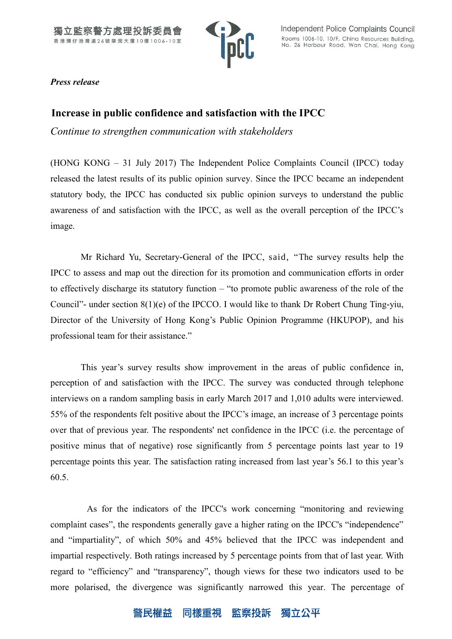

*Press release*

# **Increase in public confidence and satisfaction with the IPCC**

*Continue to strengthen communication with stakeholders*

(HONG KONG – 31 July 2017) The Independent Police Complaints Council (IPCC) today released the latest results of its public opinion survey. Since the IPCC became an independent statutory body, the IPCC has conducted six public opinion surveys to understand the public awareness of and satisfaction with the IPCC, as well as the overall perception of the IPCC's image.

Mr Richard Yu, Secretary-General of the IPCC, said, "The survey results help the IPCC to assess and map out the direction for its promotion and communication efforts in order to effectively discharge its statutory function – "to promote public awareness of the role of the Council"- under section 8(1)(e) of the IPCCO. I would like to thank Dr Robert Chung Ting-yiu, Director of the University of Hong Kong's Public Opinion Programme (HKUPOP), and his professional team for their assistance."

This year's survey results show improvement in the areas of public confidence in, perception of and satisfaction with the IPCC. The survey was conducted through telephone interviews on a random sampling basis in early March 2017 and 1,010 adults were interviewed. 55% of the respondents felt positive about the IPCC's image, an increase of 3 percentage points over that of previous year. The respondents' net confidence in the IPCC (i.e. the percentage of positive minus that of negative) rose significantly from 5 percentage points last year to 19 percentage points this year. The satisfaction rating increased from last year's 56.1 to this year's 60.5.

As for the indicators of the IPCC's work concerning "monitoring and reviewing complaint cases", the respondents generally gave a higher rating on the IPCC's "independence" and "impartiality", of which 50% and 45% believed that the IPCC was independent and impartial respectively. Both ratings increased by 5 percentage points from that of last year. With regard to "efficiency" and "transparency", though views for these two indicators used to be more polarised, the divergence was significantly narrowed this year. The percentage of

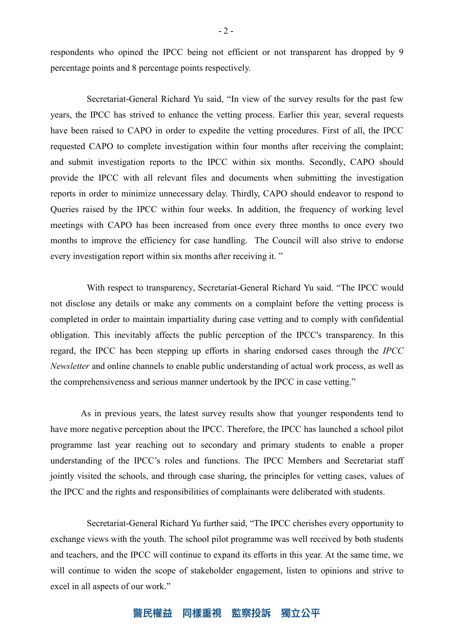respondents who opined the IPCC being not efficient or not transparent has dropped by 9 percentage points and 8 percentage points respectively.

Secretariat-General Richard Yu said, "In view of the survey results for the past few years, the IPCC has strived to enhance the vetting process. Earlier this year, several requests have been raised to CAPO in order to expedite the vetting procedures. First of all, the IPCC requested CAPO to complete investigation within four months after receiving the complaint; and submit investigation reports to the IPCC within six months. Secondly, CAPO should provide the IPCC with all relevant files and documents when submitting the investigation reports in order to minimize unnecessary delay. Thirdly, CAPO should endeavor to respond to Queries raised by the IPCC within four weeks. In addition, the frequency of working level meetings with CAPO has been increased from once every three months to once every two months to improve the efficiency for case handling. The Council will also strive to endorse every investigation report within six months after receiving it. "

With respect to transparency, Secretariat-General Richard Yu said. "The IPCC would not disclose any details or make any comments on a complaint before the vetting process is completed in order to maintain impartiality during case vetting and to comply with confidential obligation. This inevitably affects the public perception of the IPCC's transparency. In this regard, the IPCC has been stepping up efforts in sharing endorsed cases through the *IPCC Newsletter* and online channels to enable public understanding of actual work process, as well as the comprehensiveness and serious manner undertook by the IPCC in case vetting."

As in previous years, the latest survey results show that younger respondents tend to have more negative perception about the IPCC. Therefore, the IPCC has launched a school pilot programme last year reaching out to secondary and primary students to enable a proper understanding of the IPCC's roles and functions. The IPCC Members and Secretariat staff jointly visited the schools, and through case sharing, the principles for vetting cases, values of the IPCC and the rights and responsibilities of complainants were deliberated with students.

Secretariat-General Richard Yu further said, "The IPCC cherishes every opportunity to exchange views with the youth. The school pilot programme was well received by both students and teachers, and the IPCC will continue to expand its efforts in this year. At the same time, we will continue to widen the scope of stakeholder engagement, listen to opinions and strive to excel in all aspects of our work."

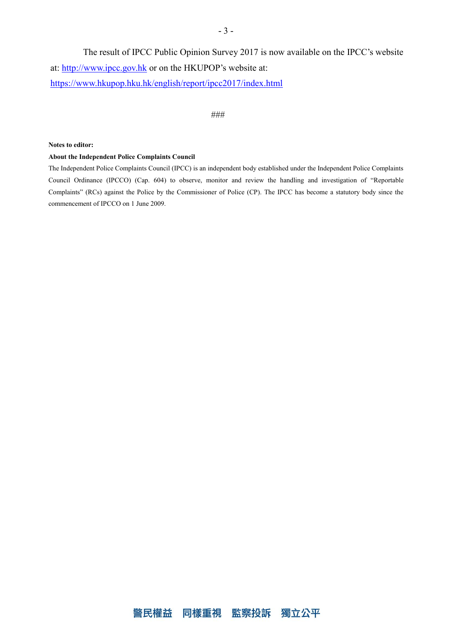The result of IPCC Public Opinion Survey 2017 is now available on the IPCC's website at: [http://www.ipcc.gov.hk](http://www.ipcc.gov.hk/) or on the HKUPOP's website at: https://www.hkupop.hku.hk/english/report/ipcc2017/index.html

### ###

#### **Notes to editor:**

#### **About the Independent Police Complaints Council**

The Independent Police Complaints Council (IPCC) is an independent body established under the Independent Police Complaints Council Ordinance (IPCCO) (Cap. 604) to observe, monitor and review the handling and investigation of "Reportable Complaints" (RCs) against the Police by the Commissioner of Police (CP). The IPCC has become a statutory body since the commencement of IPCCO on 1 June 2009.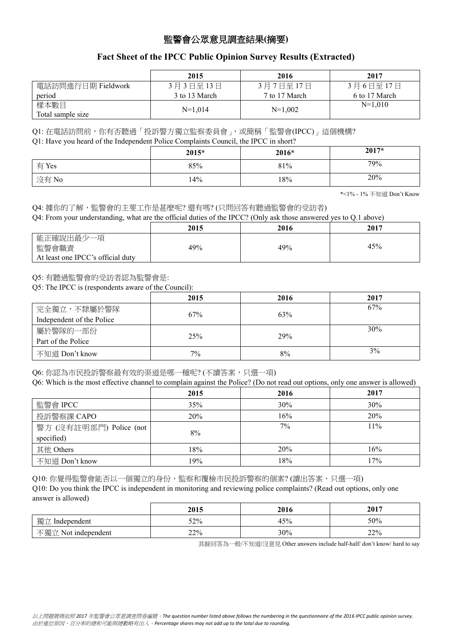## 監警會公眾意見調查結果**(**摘要**)**

## **Fact Sheet of the IPCC Public Opinion Survey Results (Extracted)**

|                           | 2015          | 2016          | 2017          |
|---------------------------|---------------|---------------|---------------|
| 電話訪問進行日期 Fieldwork        | 3月3日至13日      | 3月7日至17日      | 3月6日至17日      |
| period                    | 3 to 13 March | 7 to 17 March | 6 to 17 March |
| 樣本數目<br>Total sample size | $N=1.014$     | $N=1,002$     | $N=1,010$     |

Q1: 在電話訪問前, 你有否聽過「投訴警方獨立監察委員會」, 或簡稱「監警會(IPCC)」這個機構?

Q1: Have you heard of the Independent Police Complaints Council, the IPCC in short?

| $\sim$ | $2015*$ | 2016* | 2017* |
|--------|---------|-------|-------|
| 有 Yes  | 85%     | 81%   | 79%   |
| 沒有 No  | 14%     | 18%   | 20%   |

\*<1% - 1% 不知道 Don't Know

Q4: 據你的了解,監警會的主要工作是甚麼呢? 還有嗎? (只問回答有聽過監警會的受訪者)

Q4: From your understanding, what are the official duties of the IPCC? (Only ask those answered yes to Q.1 above)

|                                                         | 2015 | 2016 | 2017 |
|---------------------------------------------------------|------|------|------|
| 能正確說出最少一項<br>監警會職責<br>At least one IPCC's official duty | 49%  | 49%  | 45%  |

Q5: 有聽過監警會的受訪者認為監警會是:

Q5: The IPCC is (respondents aware of the Council):

|                           | 2015 | 2016 | 2017 |
|---------------------------|------|------|------|
| 完全獨立,不隸屬於警隊               | 67%  | 63%  | 67%  |
| Independent of the Police |      |      |      |
| 屬於警隊的一部份                  |      |      | 30%  |
| Part of the Police        | 25%  | 29%  |      |
| 不知道 Don't know            | 7%   | 8%   | 3%   |

Q6: 你認為市民投訴警察最有效的渠道是哪一種呢? (不讀答案,只選一項)

| Q6: Which is the most effective channel to complain against the Police? (Do not read out options, only one answer is allowed) |      |      |        |
|-------------------------------------------------------------------------------------------------------------------------------|------|------|--------|
|                                                                                                                               | 2015 | 2016 | 2017   |
| 監警會 IPCC                                                                                                                      | 35%  | 30%  | 30%    |
| 投訴警察課 CAPO                                                                                                                    | 20%  | 16%  | 20%    |
| 警方 (沒有註明部門) Police (not                                                                                                       |      | 7%   | $11\%$ |
| specified)                                                                                                                    | 8%   |      |        |
| 其他 Others                                                                                                                     | 18%  | 20%  | 16%    |
| 不知道 Don't know                                                                                                                | 19%  | 18%  | 17%    |

Q10: 你覺得監警會能否以一個獨立的身份, 監察和覆檢市民投訴警察的個案? (讀出答案, 只選一項) Q10: Do you think the IPCC is independent in monitoring and reviewing police complaints? (Read out options, only one answer is allowed)

|                     | 2015 | 2016 | 2017 |
|---------------------|------|------|------|
| 獨立 Independent      | 52%  | 45%  | 50%  |
| 不獨立 Not independent | 22%  | 30%  | 22%  |

其餘回答為一般/不知道/沒意見 Other answers include half-half/ don't know/ hard to say